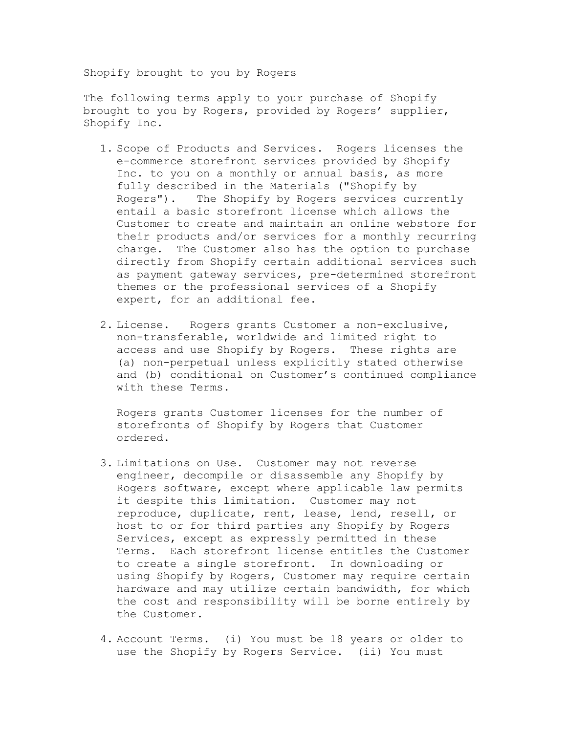Shopify brought to you by Rogers

The following terms apply to your purchase of Shopify brought to you by Rogers, provided by Rogers' supplier, Shopify Inc.

- 1. Scope of Products and Services. Rogers licenses the e-commerce storefront services provided by Shopify Inc. to you on a monthly or annual basis, as more fully described in the Materials ("Shopify by Rogers"). The Shopify by Rogers services currently entail a basic storefront license which allows the Customer to create and maintain an online webstore for their products and/or services for a monthly recurring charge. The Customer also has the option to purchase directly from Shopify certain additional services such as payment gateway services, pre-determined storefront themes or the professional services of a Shopify expert, for an additional fee.
- 2. License. Rogers grants Customer a non-exclusive, non-transferable, worldwide and limited right to access and use Shopify by Rogers. These rights are (a) non-perpetual unless explicitly stated otherwise and (b) conditional on Customer's continued compliance with these Terms.

Rogers grants Customer licenses for the number of storefronts of Shopify by Rogers that Customer ordered.

- 3. Limitations on Use. Customer may not reverse engineer, decompile or disassemble any Shopify by Rogers software, except where applicable law permits it despite this limitation. Customer may not reproduce, duplicate, rent, lease, lend, resell, or host to or for third parties any Shopify by Rogers Services, except as expressly permitted in these Terms. Each storefront license entitles the Customer to create a single storefront. In downloading or using Shopify by Rogers, Customer may require certain hardware and may utilize certain bandwidth, for which the cost and responsibility will be borne entirely by the Customer.
- 4. Account Terms. (i) You must be 18 years or older to use the Shopify by Rogers Service. (ii) You must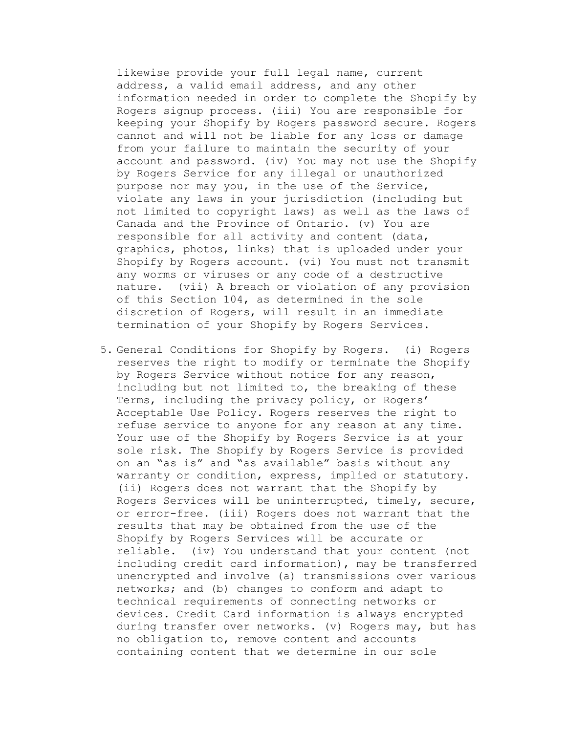likewise provide your full legal name, current address, a valid email address, and any other information needed in order to complete the Shopify by Rogers signup process. (iii) You are responsible for keeping your Shopify by Rogers password secure. Rogers cannot and will not be liable for any loss or damage from your failure to maintain the security of your account and password. (iv) You may not use the Shopify by Rogers Service for any illegal or unauthorized purpose nor may you, in the use of the Service, violate any laws in your jurisdiction (including but not limited to copyright laws) as well as the laws of Canada and the Province of Ontario. (v) You are responsible for all activity and content (data, graphics, photos, links) that is uploaded under your Shopify by Rogers account. (vi) You must not transmit any worms or viruses or any code of a destructive nature. (vii) A breach or violation of any provision of this Section 104, as determined in the sole discretion of Rogers, will result in an immediate termination of your Shopify by Rogers Services.

5. General Conditions for Shopify by Rogers. (i) Rogers reserves the right to modify or terminate the Shopify by Rogers Service without notice for any reason, including but not limited to, the breaking of these Terms, including the privacy policy, or Rogers' Acceptable Use Policy. Rogers reserves the right to refuse service to anyone for any reason at any time. Your use of the Shopify by Rogers Service is at your sole risk. The Shopify by Rogers Service is provided on an "as is" and "as available" basis without any warranty or condition, express, implied or statutory. (ii) Rogers does not warrant that the Shopify by Rogers Services will be uninterrupted, timely, secure, or error-free. (iii) Rogers does not warrant that the results that may be obtained from the use of the Shopify by Rogers Services will be accurate or reliable. (iv) You understand that your content (not including credit card information), may be transferred unencrypted and involve (a) transmissions over various networks; and (b) changes to conform and adapt to technical requirements of connecting networks or devices. Credit Card information is always encrypted during transfer over networks. (v) Rogers may, but has no obligation to, remove content and accounts containing content that we determine in our sole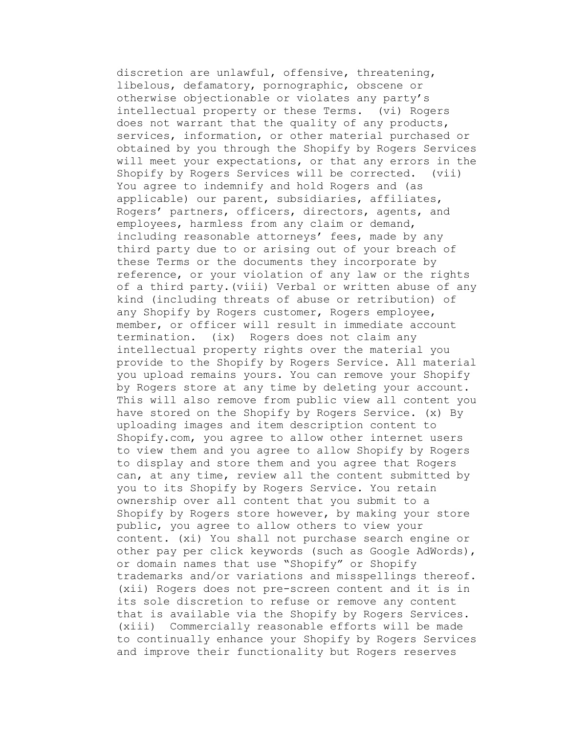discretion are unlawful, offensive, threatening, libelous, defamatory, pornographic, obscene or otherwise objectionable or violates any party's intellectual property or these Terms. (vi) Rogers does not warrant that the quality of any products, services, information, or other material purchased or obtained by you through the Shopify by Rogers Services will meet your expectations, or that any errors in the Shopify by Rogers Services will be corrected. (vii) You agree to indemnify and hold Rogers and (as applicable) our parent, subsidiaries, affiliates, Rogers' partners, officers, directors, agents, and employees, harmless from any claim or demand, including reasonable attorneys' fees, made by any third party due to or arising out of your breach of these Terms or the documents they incorporate by reference, or your violation of any law or the rights of a third party.(viii) Verbal or written abuse of any kind (including threats of abuse or retribution) of any Shopify by Rogers customer, Rogers employee, member, or officer will result in immediate account termination. (ix) Rogers does not claim any intellectual property rights over the material you provide to the Shopify by Rogers Service. All material you upload remains yours. You can remove your Shopify by Rogers store at any time by deleting your account. This will also remove from public view all content you have stored on the Shopify by Rogers Service. (x) By uploading images and item description content to Shopify.com, you agree to allow other internet users to view them and you agree to allow Shopify by Rogers to display and store them and you agree that Rogers can, at any time, review all the content submitted by you to its Shopify by Rogers Service. You retain ownership over all content that you submit to a Shopify by Rogers store however, by making your store public, you agree to allow others to view your content. (xi) You shall not purchase search engine or other pay per click keywords (such as Google AdWords), or domain names that use "Shopify" or Shopify trademarks and/or variations and misspellings thereof. (xii) Rogers does not pre-screen content and it is in its sole discretion to refuse or remove any content that is available via the Shopify by Rogers Services. (xiii) Commercially reasonable efforts will be made to continually enhance your Shopify by Rogers Services and improve their functionality but Rogers reserves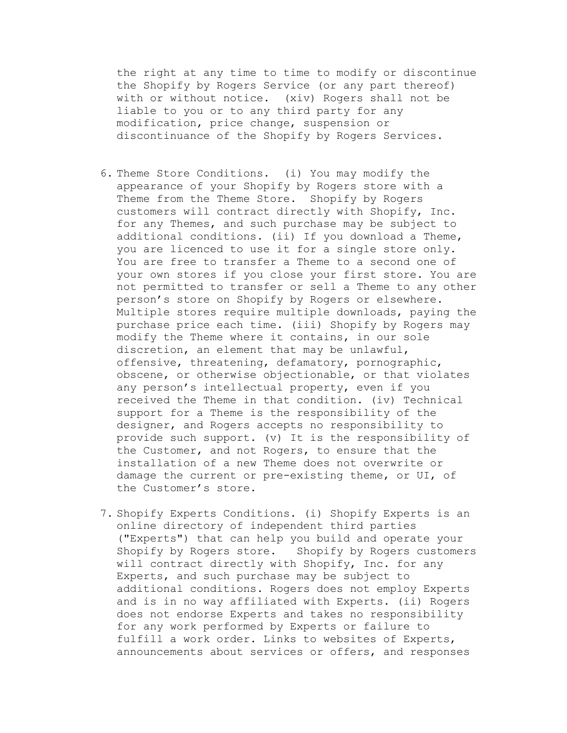the right at any time to time to modify or discontinue the Shopify by Rogers Service (or any part thereof) with or without notice. (xiv) Rogers shall not be liable to you or to any third party for any modification, price change, suspension or discontinuance of the Shopify by Rogers Services.

- 6. Theme Store Conditions. (i) You may modify the appearance of your Shopify by Rogers store with a Theme from the Theme Store. Shopify by Rogers customers will contract directly with Shopify, Inc. for any Themes, and such purchase may be subject to additional conditions. (ii) If you download a Theme, you are licenced to use it for a single store only. You are free to transfer a Theme to a second one of your own stores if you close your first store. You are not permitted to transfer or sell a Theme to any other person's store on Shopify by Rogers or elsewhere. Multiple stores require multiple downloads, paying the purchase price each time. (iii) Shopify by Rogers may modify the Theme where it contains, in our sole discretion, an element that may be unlawful, offensive, threatening, defamatory, pornographic, obscene, or otherwise objectionable, or that violates any person's intellectual property, even if you received the Theme in that condition. (iv) Technical support for a Theme is the responsibility of the designer, and Rogers accepts no responsibility to provide such support. (v) It is the responsibility of the Customer, and not Rogers, to ensure that the installation of a new Theme does not overwrite or damage the current or pre-existing theme, or UI, of the Customer's store.
- 7. Shopify Experts Conditions. (i) Shopify Experts is an online directory of independent third parties ("Experts") that can help you build and operate your Shopify by Rogers store. Shopify by Rogers customers will contract directly with Shopify, Inc. for any Experts, and such purchase may be subject to additional conditions. Rogers does not employ Experts and is in no way affiliated with Experts. (ii) Rogers does not endorse Experts and takes no responsibility for any work performed by Experts or failure to fulfill a work order. Links to websites of Experts, announcements about services or offers, and responses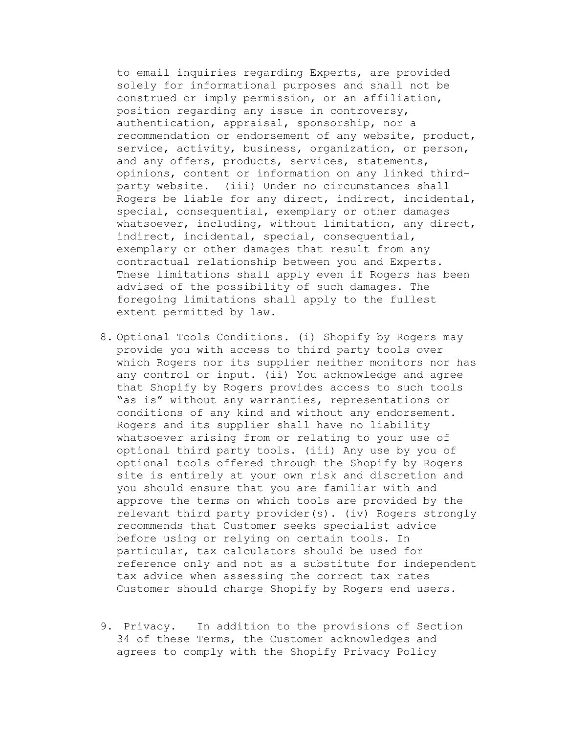to email inquiries regarding Experts, are provided solely for informational purposes and shall not be construed or imply permission, or an affiliation, position regarding any issue in controversy, authentication, appraisal, sponsorship, nor a recommendation or endorsement of any website, product, service, activity, business, organization, or person, and any offers, products, services, statements, opinions, content or information on any linked thirdparty website. (iii) Under no circumstances shall Rogers be liable for any direct, indirect, incidental, special, consequential, exemplary or other damages whatsoever, including, without limitation, any direct, indirect, incidental, special, consequential, exemplary or other damages that result from any contractual relationship between you and Experts. These limitations shall apply even if Rogers has been advised of the possibility of such damages. The foregoing limitations shall apply to the fullest extent permitted by law.

- 8. Optional Tools Conditions. (i) Shopify by Rogers may provide you with access to third party tools over which Rogers nor its supplier neither monitors nor has any control or input. (ii) You acknowledge and agree that Shopify by Rogers provides access to such tools "as is" without any warranties, representations or conditions of any kind and without any endorsement. Rogers and its supplier shall have no liability whatsoever arising from or relating to your use of optional third party tools. (iii) Any use by you of optional tools offered through the Shopify by Rogers site is entirely at your own risk and discretion and you should ensure that you are familiar with and approve the terms on which tools are provided by the relevant third party provider(s). (iv) Rogers strongly recommends that Customer seeks specialist advice before using or relying on certain tools. In particular, tax calculators should be used for reference only and not as a substitute for independent tax advice when assessing the correct tax rates Customer should charge Shopify by Rogers end users.
- 9. Privacy. In addition to the provisions of Section 34 of these Terms, the Customer acknowledges and agrees to comply with the Shopify Privacy Policy